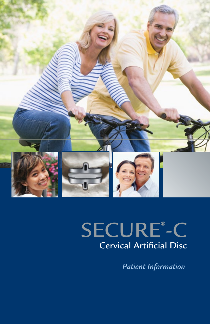

## SECURE®-C Cervical Artificial Disc

*Patient Information*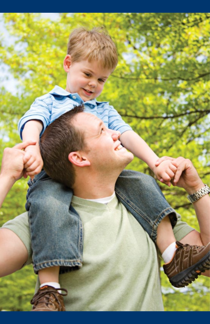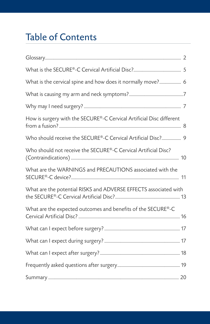## Table of Contents

| What is the cervical spine and how does it normally move? 6          |  |
|----------------------------------------------------------------------|--|
|                                                                      |  |
|                                                                      |  |
| How is surgery with the SECURE®-C Cervical Artificial Disc different |  |
| Who should receive the SECURE®-C Cervical Artificial Disc? 9         |  |
| Who should not receive the SECURE®-C Cervical Artificial Disc?       |  |
| What are the WARNINGS and PRECAUTIONS associated with the            |  |
| What are the potential RISKS and ADVERSE EFFECTS associated with     |  |
| What are the expected outcomes and benefits of the SECURE®-C         |  |
|                                                                      |  |
|                                                                      |  |
|                                                                      |  |
|                                                                      |  |
|                                                                      |  |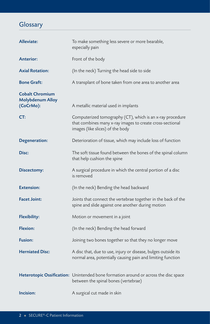## **Glossary**

| Alleviate:                                                     | To make something less severe or more bearable,<br>especially pain                                                                                         |
|----------------------------------------------------------------|------------------------------------------------------------------------------------------------------------------------------------------------------------|
| <b>Anterior:</b>                                               | Front of the body                                                                                                                                          |
| <b>Axial Rotation:</b>                                         | (In the neck) Turning the head side to side                                                                                                                |
| <b>Bone Graft:</b>                                             | A transplant of bone taken from one area to another area                                                                                                   |
| <b>Cobalt Chromium</b><br><b>Molybdenum Alloy</b><br>(CoCrMo): | A metallic material used in implants                                                                                                                       |
| CT:                                                            | Computerized tomography (CT), which is an x-ray procedure<br>that combines many x-ray images to create cross-sectional<br>images (like slices) of the body |
| Degeneration:                                                  | Deterioration of tissue, which may include loss of function                                                                                                |
| Disc:                                                          | The soft tissue found between the bones of the spinal column<br>that help cushion the spine                                                                |
| Discectomy:                                                    | A surgical procedure in which the central portion of a disc<br>is removed                                                                                  |
| <b>Extension:</b>                                              | (In the neck) Bending the head backward                                                                                                                    |
| <b>Facet Joint:</b>                                            | Joints that connect the vertebrae together in the back of the<br>spine and slide against one another during motion                                         |
| Flexibility:                                                   | Motion or movement in a joint                                                                                                                              |
| <b>Flexion:</b>                                                | (In the neck) Bending the head forward                                                                                                                     |
| <b>Fusion:</b>                                                 | Joining two bones together so that they no longer move                                                                                                     |
| <b>Herniated Disc:</b>                                         | A disc that, due to use, injury or disease, bulges outside its<br>normal area, potentially causing pain and limiting function                              |
|                                                                | Heterotopic Ossification: Unintended bone formation around or across the disc space<br>between the spinal bones (vertebrae)                                |
| Incision:                                                      | A surgical cut made in skin                                                                                                                                |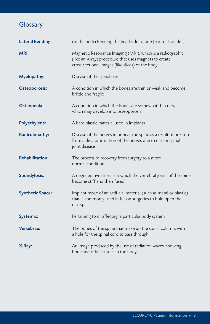## **Glossary**

| <b>Lateral Bending:</b>  | (In the neck) Bending the head side to side (ear to shoulder)                                                                                                          |
|--------------------------|------------------------------------------------------------------------------------------------------------------------------------------------------------------------|
| MRI:                     | Magnetic Resonance Imaging (MRI), which is a radiographic<br>(like an X-ray) procedure that uses magnets to create<br>cross-sectional images (like slices) of the body |
| Myelopathy:              | Disease of the spinal cord                                                                                                                                             |
| Osteoporosis:            | A condition in which the bones are thin or weak and become<br>brittle and fragile                                                                                      |
| Osteopenia:              | A condition in which the bones are somewhat thin or weak,<br>which may develop into osteoporosis                                                                       |
| Polyethylene:            | A hard plastic material used in implants                                                                                                                               |
| Radiculopathy:           | Disease of the nerves in or near the spine as a result of pressure<br>from a disc, or irritation of the nerves due to disc or spinal<br>joint disease                  |
| <b>Rehabilitation:</b>   | The process of recovery from surgery to a more<br>normal condition                                                                                                     |
| Spondylosis:             | A degenerative disease in which the vertebral joints of the spine<br>become stiff and then fused                                                                       |
| <b>Synthetic Spacer:</b> | Implant made of an artificial material (such as metal or plastic)<br>that is commonly used in fusion surgeries to hold open the<br>disc space                          |
| Systemic:                | Pertaining to or affecting a particular body system                                                                                                                    |
| Vertebrae:               | The bones of the spine that make up the spinal column, with<br>a hole for the spinal cord to pass through                                                              |
| X-Ray:                   | An image produced by the use of radiation waves, showing<br>bone and other tissues in the body                                                                         |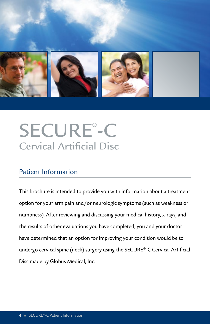

# SECURE<sup>®</sup>-C Cervical Artificial Disc

## Patient Information

This brochure is intended to provide you with information about a treatment option for your arm pain and/or neurologic symptoms (such as weakness or numbness). After reviewing and discussing your medical history, x-rays, and the results of other evaluations you have completed, you and your doctor have determined that an option for improving your condition would be to undergo cervical spine (neck) surgery using the SECURE®-C Cervical Artificial Disc made by Globus Medical, Inc.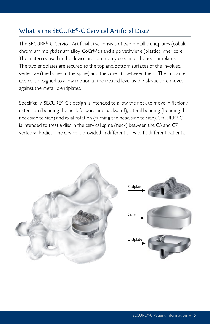## What is the SECURE®-C Cervical Artificial Disc?

The SECURE®-C Cervical Artificial Disc consists of two metallic endplates (cobalt chromium molybdenum alloy, CoCrMo) and a polyethylene (plastic) inner core. The materials used in the device are commonly used in orthopedic implants. The two endplates are secured to the top and bottom surfaces of the involved vertebrae (the bones in the spine) and the core fits between them. The implanted device is designed to allow motion at the treated level as the plastic core moves against the metallic endplates.

Specifically, SECURE®-C's design is intended to allow the neck to move in flexion/ extension (bending the neck forward and backward), lateral bending (bending the neck side to side) and axial rotation (turning the head side to side). SECURE®-C is intended to treat a disc in the cervical spine (neck) between the C3 and C7 vertebral bodies. The device is provided in different sizes to fit different patients.

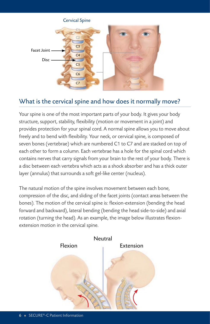

## What is the cervical spine and how does it normally move?

Your spine is one of the most important parts of your body. It gives your body structure, support, stability, flexibility (motion or movement in a joint) and provides protection for your spinal cord. A normal spine allows you to move about freely and to bend with flexibility. Your neck, or cervical spine, is composed of seven bones (vertebrae) which are numbered C1 to C7 and are stacked on top of each other to form a column. Each vertebrae has a hole for the spinal cord which contains nerves that carry signals from your brain to the rest of your body. There is a disc between each vertebra which acts as a shock absorber and has a thick outer layer (annulus) that surrounds a soft gel-like center (nucleus).

The natural motion of the spine involves movement between each bone, compression of the disc, and sliding of the facet joints (contact areas between the bones). The motion of the cervical spine is: flexion-extension (bending the head forward and backward), lateral bending (bending the head side-to-side) and axial rotation (turning the head). As an example, the image below illustrates flexionextension motion in the cervical spine.

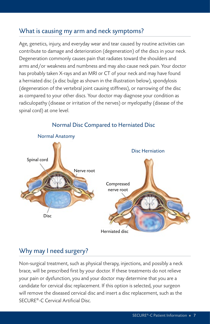## What is causing my arm and neck symptoms?

Age, genetics, injury, and everyday wear and tear caused by routine activities can contribute to damage and deterioration (degeneration) of the discs in your neck. Degeneration commonly causes pain that radiates toward the shoulders and arms and/or weakness and numbness and may also cause neck pain. Your doctor has probably taken X-rays and an MRI or CT of your neck and may have found a herniated disc (a disc bulge as shown in the illustration below), spondylosis (degeneration of the vertebral joint causing stiffness), or narrowing of the disc as compared to your other discs. Your doctor may diagnose your condition as radiculopathy (disease or irritation of the nerves) or myelopathy (disease of the spinal cord) at one level.



#### Normal Disc Compared to Herniated Disc

## Why may I need surgery?

Non-surgical treatment, such as physical therapy, injections, and possibly a neck brace, will be prescribed first by your doctor. If these treatments do not relieve your pain or dysfunction, you and your doctor may determine that you are a candidate for cervical disc replacement. If this option is selected, your surgeon will remove the diseased cervical disc and insert a disc replacement, such as the SECURE®-C Cervical Artificial Disc.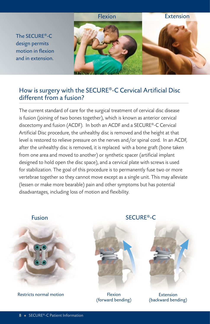

The SECURE®-C design permits motion in flexion and in extension.

#### How is surgery with the SECURE®-C Cervical Artificial Disc different from a fusion?

The current standard of care for the surgical treatment of cervical disc disease is fusion (joining of two bones together), which is known as anterior cervical discectomy and fusion (ACDF). In both an ACDF and a SECURE®-C Cervical Artificial Disc procedure, the unhealthy disc is removed and the height at that level is restored to relieve pressure on the nerves and/or spinal cord. In an ACDF, after the unhealthy disc is removed, it is replaced with a bone graft (bone taken from one area and moved to another) or synthetic spacer (artificial implant designed to hold open the disc space), and a cervical plate with screws is used for stabilization. The goal of this procedure is to permanently fuse two or more vertebrae together so they cannot move except as a single unit. This may alleviate (lessen or make more bearable) pain and other symptoms but has potential disadvantages, including loss of motion and flexibility.

> Flexion (forward bending)

Fusion



Restricts normal motion and the series of the series of the Extension estimates of the Extension

SECURE®-C



(backward bending)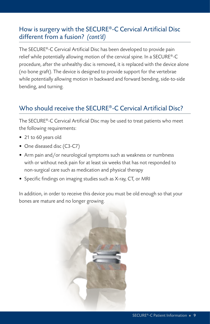#### How is surgery with the SECURE®-C Cervical Artificial Disc different from a fusion? *(cont'd)*

The SECURE®-C Cervical Artificial Disc has been developed to provide pain relief while potentially allowing motion of the cervical spine. In a SECURE®-C procedure, after the unhealthy disc is removed, it is replaced with the device alone (no bone graft). The device is designed to provide support for the vertebrae while potentially allowing motion in backward and forward bending, side-to-side bending, and turning.

## Who should receive the SECURE®-C Cervical Artificial Disc?

The SECURE®-C Cervical Artificial Disc may be used to treat patients who meet the following requirements:

- 21 to 60 years old
- One diseased disc (C3-C7)
- Arm pain and/or neurological symptoms such as weakness or numbness with or without neck pain for at least six weeks that has not responded to non-surgical care such as medication and physical therapy
- Specific findings on imaging studies such as X-ray, CT, or MRI

In addition, in order to receive this device you must be old enough so that your bones are mature and no longer growing.

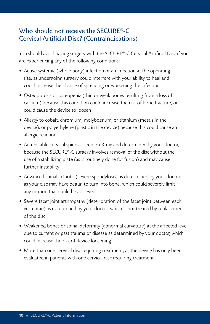#### Who should not receive the SECURE®-C Cervical Artificial Disc? (Contraindications)

You should avoid having surgery with the SECURE®-C Cervical Artificial Disc if you are experiencing any of the following conditions:

- Active systemic (whole body) infection or an infection at the operating site, as undergoing surgery could interfere with your ability to heal and could increase the chance of spreading or worsening the infection
- Osteoporosis or osteopenia (thin or weak bones resulting from a loss of calcium) because this condition could increase the risk of bone fracture, or could cause the device to loosen
- Allergy to cobalt, chromium, molybdenum, or titanium (metals in the device), or polyethylene (plastic in the device) because this could cause an allergic reaction
- An unstable cervical spine as seen on X-ray and determined by your doctor, because the SECURE®-C surgery involves removal of the disc without the use of a stabilizing plate (as is routinely done for fusion) and may cause further instability
- Advanced spinal arthritis (severe spondylosis) as determined by your doctor, as your disc may have begun to turn into bone, which could severely limit any motion that could be achieved
- Severe facet joint arthropathy (deterioration of the facet joint between each vertebrae) as determined by your doctor, which is not treated by replacement of the disc
- Weakened bones or spinal deformity (abnormal curvature) at the affected level due to current or past trauma or disease as determined by your doctor, which could increase the risk of device loosening
- More than one cervical disc requiring treatment, as the device has only been evaluated in patients with one cervical disc requiring treatment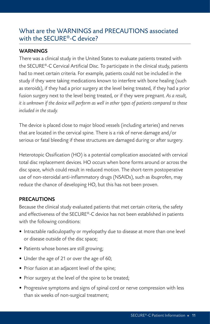#### What are the WARNINGS and PRECAUTIONS associated with the SECURE®-C device?

#### **WARNINGS**

There was a clinical study in the United States to evaluate patients treated with the SECURE®-C Cervical Artificial Disc. To participate in the clinical study, patients had to meet certain criteria. For example, patients could not be included in the study if they were taking medications known to interfere with bone healing (such as steroids), if they had a prior surgery at the level being treated, if they had a prior fusion surgery next to the level being treated, or if they were pregnant. *As a result, it is unknown if the device will perform as well in other types of patients compared to those included in the study.*

The device is placed close to major blood vessels (including arteries) and nerves that are located in the cervical spine. There is a risk of nerve damage and/or serious or fatal bleeding if these structures are damaged during or after surgery.

Heterotopic Ossification (HO) is a potential complication associated with cervical total disc replacement devices. HO occurs when bone forms around or across the disc space, which could result in reduced motion. The short-term postoperative use of non-steroidal anti-inflammatory drugs (NSAIDs), such as ibuprofen, may reduce the chance of developing HO, but this has not been proven.

#### **PRECAUTIONS**

Because the clinical study evaluated patients that met certain criteria, the safety and effectiveness of the SECURE®-C device has not been established in patients with the following conditions:

- Intractable radiculopathy or myelopathy due to disease at more than one level or disease outside of the disc space;
- Patients whose bones are still growing;
- Under the age of 21 or over the age of 60;
- Prior fusion at an adjacent level of the spine;
- Prior surgery at the level of the spine to be treated;
- Progressive symptoms and signs of spinal cord or nerve compression with less than six weeks of non-surgical treatment;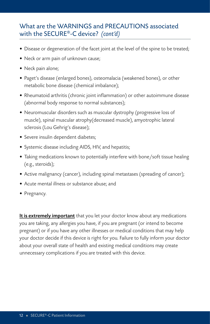#### What are the WARNINGS and PRECAUTIONS associated with the SECURE®-C device? *(cont'd)*

- Disease or degeneration of the facet joint at the level of the spine to be treated;
- Neck or arm pain of unknown cause;
- Neck pain alone;
- Paget's disease (enlarged bones), osteomalacia (weakened bones), or other metabolic bone disease (chemical imbalance);
- Rheumatoid arthritis (chronic joint inflammation) or other autoimmune disease (abnormal body response to normal substances);
- Neuromuscular disorders such as muscular dystrophy (progressive loss of muscle), spinal muscular atrophy(decreased muscle), amyotrophic lateral sclerosis (Lou Gehrig's disease);
- Severe insulin dependent diabetes;
- Systemic disease including AIDS, HIV, and hepatitis;
- Taking medications known to potentially interfere with bone/soft tissue healing (e.g., steroids);
- Active malignancy (cancer), including spinal metastases (spreading of cancer);
- Acute mental illness or substance abuse; and
- Pregnancy.

It is extremely important that you let your doctor know about any medications you are taking, any allergies you have, if you are pregnant (or intend to become pregnant) or if you have any other illnesses or medical conditions that may help your doctor decide if this device is right for you. Failure to fully inform your doctor about your overall state of health and existing medical conditions may create unnecessary complications if you are treated with this device.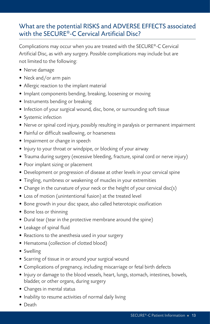#### What are the potential RISKS and ADVERSE EFFECTS associated with the SECURE®-C Cervical Artificial Disc?

Complications may occur when you are treated with the SECURE®-C Cervical Artificial Disc, as with any surgery. Possible complications may include but are not limited to the following:

- Nerve damage
- Neck and/or arm pain
- Allergic reaction to the implant material
- Implant components bending, breaking, loosening or moving
- Instruments bending or breaking
- Infection of your surgical wound, disc, bone, or surrounding soft tissue
- Systemic infection
- Nerve or spinal cord injury, possibly resulting in paralysis or permanent impairment
- Painful or difficult swallowing, or hoarseness
- Impairment or change in speech
- Injury to your throat or windpipe, or blocking of your airway
- Trauma during surgery (excessive bleeding, fracture, spinal cord or nerve injury)
- Poor implant sizing or placement
- Development or progression of disease at other levels in your cervical spine
- Tingling, numbness or weakening of muscles in your extremities
- Change in the curvature of your neck or the height of your cervical disc(s)
- Loss of motion (unintentional fusion) at the treated level
- Bone growth in your disc space, also called heterotopic ossification
- Bone loss or thinning
- Dural tear (tear in the protective membrane around the spine)
- Leakage of spinal fluid
- Reactions to the anesthesia used in your surgery
- Hematoma (collection of clotted blood)
- Swelling
- Scarring of tissue in or around your surgical wound
- Complications of pregnancy, including miscarriage or fetal birth defects
- Injury or damage to the blood vessels, heart, lungs, stomach, intestines, bowels, bladder, or other organs, during surgery
- Changes in mental status
- Inability to resume activities of normal daily living
- • Death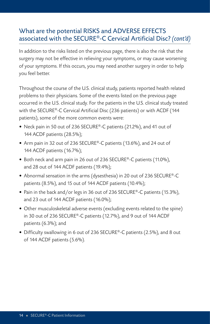#### What are the potential RISKS and ADVERSE EFFECTS associated with the SECURE®-C Cervical Artificial Disc? *(cont'd)*

In addition to the risks listed on the previous page, there is also the risk that the surgery may not be effective in relieving your symptoms, or may cause worsening of your symptoms. If this occurs, you may need another surgery in order to help you feel better.

Throughout the course of the U.S. clinical study, patients reported health related problems to their physicians. Some of the events listed on the previous page occurred in the U.S. clinical study. For the patients in the U.S. clinical study treated with the SECURE®-C Cervical Artificial Disc (236 patients) or with ACDF (144 patients), some of the more common events were:

- Neck pain in 50 out of 236 SECURE®-C patients (21.2%), and 41 out of 144 ACDF patients (28.5%);
- Arm pain in 32 out of 236 SECURE®-C patients (13.6%), and 24 out of 144 ACDF patients (16.7%);
- Both neck and arm pain in 26 out of 236 SECURE®-C patients (11.0%), and 28 out of 144 ACDF patients (19.4%);
- Abnormal sensation in the arms (dysesthesia) in 20 out of 236 SECURE®-C patients (8.5%), and 15 out of 144 ACDF patients (10.4%);
- Pain in the back and/or legs in 36 out of 236 SECURE®-C patients (15.3%), and 23 out of 144 ACDF patients (16.0%);
- Other musculoskeletal adverse events (excluding events related to the spine) in 30 out of 236 SECURE®-C patients (12.7%), and 9 out of 144 ACDF patients (6.3%); and
- Difficulty swallowing in 6 out of 236 SECURE®-C patients (2.5%), and 8 out of 144 ACDF patients (5.6%).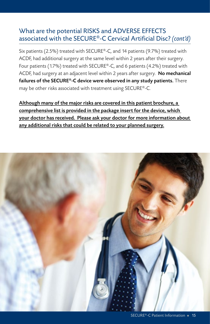#### What are the potential RISKS and ADVERSE EFFECTS associated with the SECURE®-C Cervical Artificial Disc? *(cont'd)*

Six patients (2.5%) treated with SECURE®-C, and 14 patients (9.7%) treated with ACDF, had additional surgery at the same level within 2 years after their surgery. Four patients (1.7%) treated with SECURE®-C, and 6 patients (4.2%) treated with ACDF, had surgery at an adjacent level within 2 years after surgery. No mechanical failures of the SECURE®-C device were observed in any study patients. There may be other risks associated with treatment using SECURE®-C.

Although many of the major risks are covered in this patient brochure, a comprehensive list is provided in the package insert for the device, which your doctor has received. Please ask your doctor for more information about any additional risks that could be related to your planned surgery.

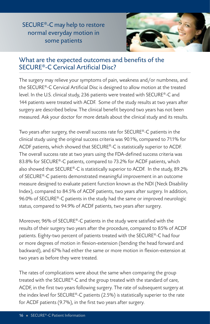SECURE®-C may help to restore normal everyday motion in some patients



#### What are the expected outcomes and benefits of the SECURE®-C Cervical Artificial Disc?

The surgery may relieve your symptoms of pain, weakness and/or numbness, and the SECURE®-C Cervical Artificial Disc is designed to allow motion at the treated level. In the U.S. clinical study, 236 patients were treated with SECURE®-C and 144 patients were treated with ACDF. Some of the study results at two years after surgery are described below. The clinical benefit beyond two years has not been measured. Ask your doctor for more details about the clinical study and its results.

Two years after surgery, the overall success rate for SECURE®-C patients in the clinical study using the original success criteria was 90.1%, compared to 71.1% for ACDF patients, which showed that SECURE®-C is statistically superior to ACDF. The overall success rate at two years using the FDA-defined success criteria was 83.8% for SECURE®-C patients, compared to 73.2% for ACDF patients, which also showed that SECURE®-C is statistically superior to ACDF. In the study, 89.2% of SECURE®-C patients demonstrated meaningful improvement in an outcome measure designed to evaluate patient function known as the NDI (Neck Disability Index), compared to 84.5% of ACDF patients, two years after surgery. In addition, 96.0% of SECURE®-C patients in the study had the same or improved neurologic status, compared to 94.9% of ACDF patients, two years after surgery.

Moreover, 96% of SECURE®-C patients in the study were satisfied with the results of their surgery two years after the procedure, compared to 85% of ACDF patients. Eighty-two percent of patients treated with the SECURE®-C had four or more degrees of motion in flexion-extension (bending the head forward and backward), and 67% had either the same or more motion in flexion-extension at two years as before they were treated.

The rates of complications were about the same when comparing the group treated with the SECURE®-C and the group treated with the standard of care, ACDF, in the first two years following surgery. The rate of subsequent surgery at the index level for SECURE®-C patients (2.5%) is statistically superier to the rate for ACDF patients (9.7%), in the first two years after surgery.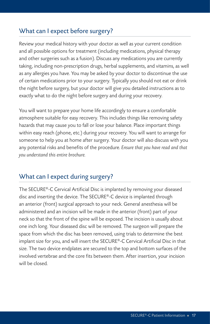## What can I expect before surgery?

Review your medical history with your doctor as well as your current condition and all possible options for treatment (including medications, physical therapy and other surgeries such as a fusion). Discuss any medications you are currently taking, including non-prescription drugs, herbal supplements, and vitamins, as well as any allergies you have. You may be asked by your doctor to discontinue the use of certain medications prior to your surgery. Typically you should not eat or drink the night before surgery, but your doctor will give you detailed instructions as to exactly what to do the night before surgery and during your recovery.

You will want to prepare your home life accordingly to ensure a comfortable atmosphere suitable for easy recovery. This includes things like removing safety hazards that may cause you to fall or lose your balance. Place important things within easy reach (phone, etc.) during your recovery. You will want to arrange for someone to help you at home after surgery. Your doctor will also discuss with you any potential risks and benefits of the procedure. *Ensure that you have read and that you understand this entire brochure.*

## What can I expect during surgery?

The SECURE®-C Cervical Artificial Disc is implanted by removing your diseased disc and inserting the device. The SECURE®-C device is implanted through an anterior (front) surgical approach to your neck. General anesthesia will be administered and an incision will be made in the anterior (front) part of your neck so that the front of the spine will be exposed. The incision is usually about one inch long. Your diseased disc will be removed. The surgeon will prepare the space from which the disc has been removed, using trials to determine the best implant size for you, and will insert the SECURE®-C Cervical Artificial Disc in that size. The two device endplates are secured to the top and bottom surfaces of the involved vertebrae and the core fits between them. After insertion, your incision will be closed.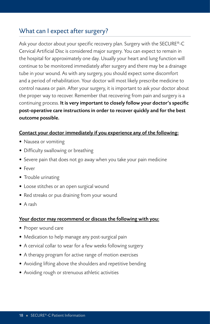## What can I expect after surgery?

Ask your doctor about your specific recovery plan. Surgery with the SECURE®-C Cervical Artificial Disc is considered major surgery. You can expect to remain in the hospital for approximately one day. Usually your heart and lung function will continue to be monitored immediately after surgery and there may be a drainage tube in your wound. As with any surgery, you should expect some discomfort and a period of rehabilitation. Your doctor will most likely prescribe medicine to control nausea or pain. After your surgery, it is important to ask your doctor about the proper way to recover. Remember that recovering from pain and surgery is a continuing process. It is very important to closely follow your doctor's specific post-operative care instructions in order to recover quickly and for the best outcome possible.

#### Contact your doctor immediately if you experience any of the following:

- Nausea or vomiting
- Difficulty swallowing or breathing
- Severe pain that does not go away when you take your pain medicine
- • Fever
- Trouble urinating
- Loose stitches or an open surgical wound
- Red streaks or pus draining from your wound
- • A rash

#### Your doctor may recommend or discuss the following with you:

- Proper wound care
- Medication to help manage any post-surgical pain
- A cervical collar to wear for a few weeks following surgery
- A therapy program for active range of motion exercises
- Avoiding lifting above the shoulders and repetitive bending
- Avoiding rough or strenuous athletic activities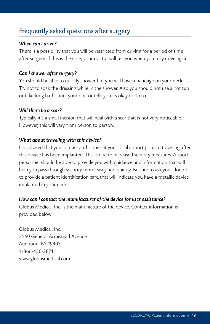## Frequently asked questions after surgery

#### *When can I drive?*

There is a possibility that you will be restricted from driving for a period of time after surgery. If this is the case, your doctor will tell you when you may drive again.

#### *Can I shower after surgery?*

You should be able to quickly shower but you will have a bandage on your neck. Try not to soak the dressing while in the shower. Also you should not use a hot tub or take long baths until your doctor tells you its okay to do so.

#### *Will there be a scar?*

Typically it's a small incision that will heal with a scar that is not very noticeable. However, this will vary from person to person.

#### *What about traveling with this device?*

It is advised that you contact authorities at your local airport prior to traveling after this device has been implanted. This is due to increased security measures. Airport personnel should be able to provide you with guidance and information that will help you pass through security more easily and quickly. Be sure to ask your doctor to provide a patient identification card that will indicate you have a metallic device implanted in your neck.

#### *How can I contact the manufacturer of the device for user assistance?*

Globus Medical, Inc. is the manufacture of the device. Contact information is provided below:

Globus Medical, Inc. 2560 General Armistead Avenue Audubon, PA 19403 1-866-456-2871 www.globusmedical.com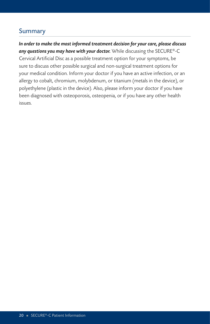#### Summary

*In order to make the most informed treatment decision for your care, please discuss any questions you may have with your doctor.* While discussing the SECURE®-C Cervical Artificial Disc as a possible treatment option for your symptoms, be sure to discuss other possible surgical and non-surgical treatment options for your medical condition. Inform your doctor if you have an active infection, or an allergy to cobalt, chromium, molybdenum, or titanium (metals in the device), or polyethylene (plastic in the device). Also, please inform your doctor if you have been diagnosed with osteoporosis, osteopenia, or if you have any other health issues.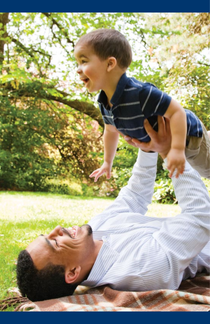